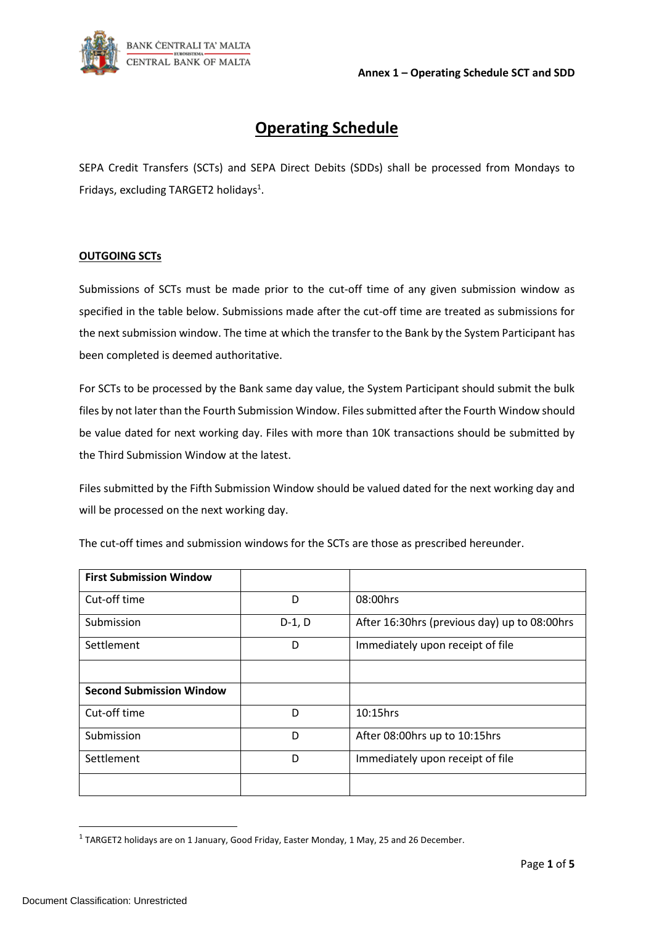

# **Operating Schedule**

SEPA Credit Transfers (SCTs) and SEPA Direct Debits (SDDs) shall be processed from Mondays to Fridays, excluding TARGET2 holidays<sup>1</sup>.

#### **OUTGOING SCTs**

Submissions of SCTs must be made prior to the cut-off time of any given submission window as specified in the table below. Submissions made after the cut-off time are treated as submissions for the next submission window. The time at which the transfer to the Bank by the System Participant has been completed is deemed authoritative.

For SCTs to be processed by the Bank same day value, the System Participant should submit the bulk files by not later than the Fourth Submission Window. Files submitted after the Fourth Window should be value dated for next working day. Files with more than 10K transactions should be submitted by the Third Submission Window at the latest.

Files submitted by the Fifth Submission Window should be valued dated for the next working day and will be processed on the next working day.

| <b>First Submission Window</b>  |          |                                              |  |
|---------------------------------|----------|----------------------------------------------|--|
| Cut-off time                    | D        | 08:00hrs                                     |  |
| Submission                      | $D-1, D$ | After 16:30hrs (previous day) up to 08:00hrs |  |
| Settlement                      | D        | Immediately upon receipt of file             |  |
|                                 |          |                                              |  |
| <b>Second Submission Window</b> |          |                                              |  |
| Cut-off time                    | D        | $10:15$ hrs                                  |  |
| Submission                      | D        | After 08:00hrs up to 10:15hrs                |  |
| Settlement                      | D        | Immediately upon receipt of file             |  |
|                                 |          |                                              |  |

The cut-off times and submission windows for the SCTs are those as prescribed hereunder.

 $<sup>1</sup>$  TARGET2 holidays are on 1 January, Good Friday, Easter Monday, 1 May, 25 and 26 December.</sup>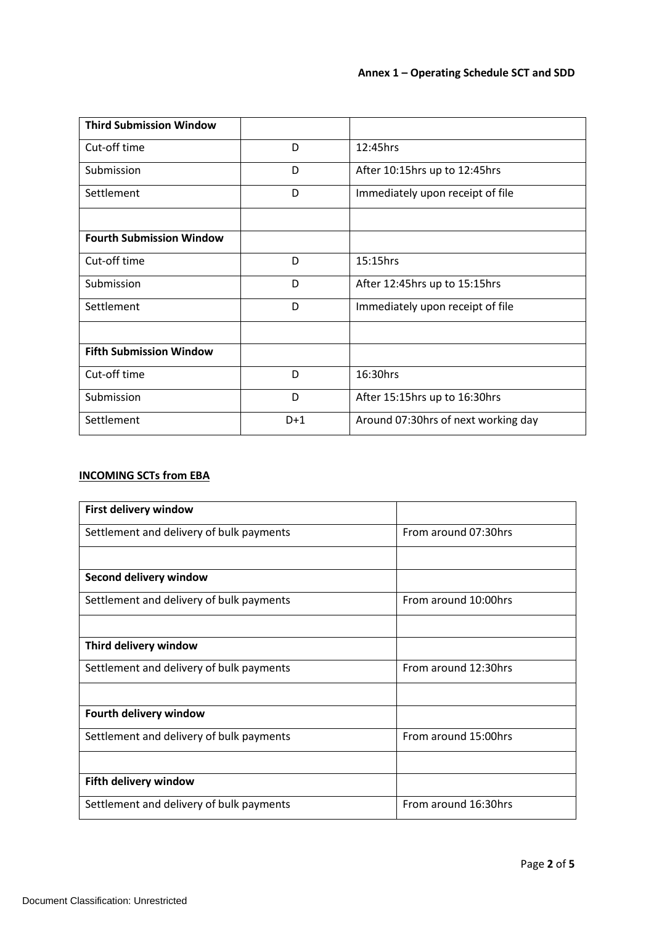| <b>Third Submission Window</b>  |       |                                     |  |
|---------------------------------|-------|-------------------------------------|--|
| Cut-off time                    | D     | 12:45hrs                            |  |
| Submission                      | D     | After 10:15hrs up to 12:45hrs       |  |
| Settlement                      | D     | Immediately upon receipt of file    |  |
|                                 |       |                                     |  |
| <b>Fourth Submission Window</b> |       |                                     |  |
| Cut-off time                    | D     | $15:15$ hrs                         |  |
| Submission                      | D     | After 12:45hrs up to 15:15hrs       |  |
| Settlement                      | D     | Immediately upon receipt of file    |  |
|                                 |       |                                     |  |
| <b>Fifth Submission Window</b>  |       |                                     |  |
| Cut-off time                    | D     | 16:30hrs                            |  |
| Submission                      | D     | After 15:15hrs up to 16:30hrs       |  |
| Settlement                      | $D+1$ | Around 07:30hrs of next working day |  |

## **INCOMING SCTs from EBA**

| <b>First delivery window</b>             |                      |
|------------------------------------------|----------------------|
| Settlement and delivery of bulk payments | From around 07:30hrs |
|                                          |                      |
| Second delivery window                   |                      |
| Settlement and delivery of bulk payments | From around 10:00hrs |
|                                          |                      |
| Third delivery window                    |                      |
| Settlement and delivery of bulk payments | From around 12:30hrs |
|                                          |                      |
| Fourth delivery window                   |                      |
| Settlement and delivery of bulk payments | From around 15:00hrs |
|                                          |                      |
| Fifth delivery window                    |                      |
| Settlement and delivery of bulk payments | From around 16:30hrs |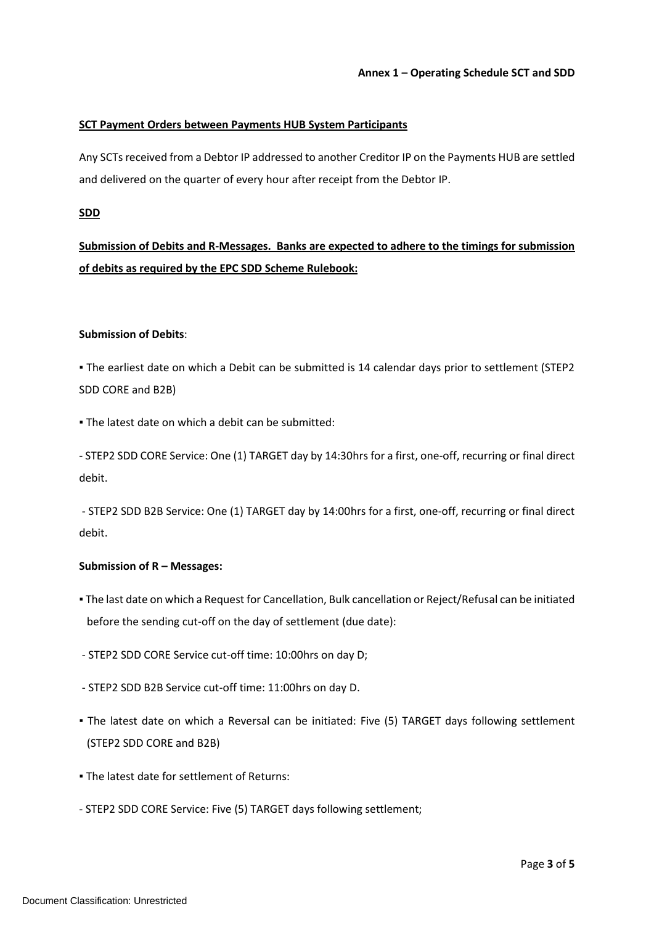### **SCT Payment Orders between Payments HUB System Participants**

Any SCTs received from a Debtor IP addressed to another Creditor IP on the Payments HUB are settled and delivered on the quarter of every hour after receipt from the Debtor IP.

#### **SDD**

**Submission of Debits and R-Messages. Banks are expected to adhere to the timings for submission of debits as required by the EPC SDD Scheme Rulebook:** 

#### **Submission of Debits**:

▪ The earliest date on which a Debit can be submitted is 14 calendar days prior to settlement (STEP2 SDD CORE and B2B)

▪ The latest date on which a debit can be submitted:

- STEP2 SDD CORE Service: One (1) TARGET day by 14:30hrs for a first, one-off, recurring or final direct debit.

- STEP2 SDD B2B Service: One (1) TARGET day by 14:00hrs for a first, one-off, recurring or final direct debit.

#### **Submission of R – Messages:**

- The last date on which a Request for Cancellation, Bulk cancellation or Reject/Refusal can be initiated before the sending cut-off on the day of settlement (due date):
- STEP2 SDD CORE Service cut-off time: 10:00hrs on day D;
- STEP2 SDD B2B Service cut-off time: 11:00hrs on day D.
- The latest date on which a Reversal can be initiated: Five (5) TARGET days following settlement (STEP2 SDD CORE and B2B)
- The latest date for settlement of Returns:
- STEP2 SDD CORE Service: Five (5) TARGET days following settlement;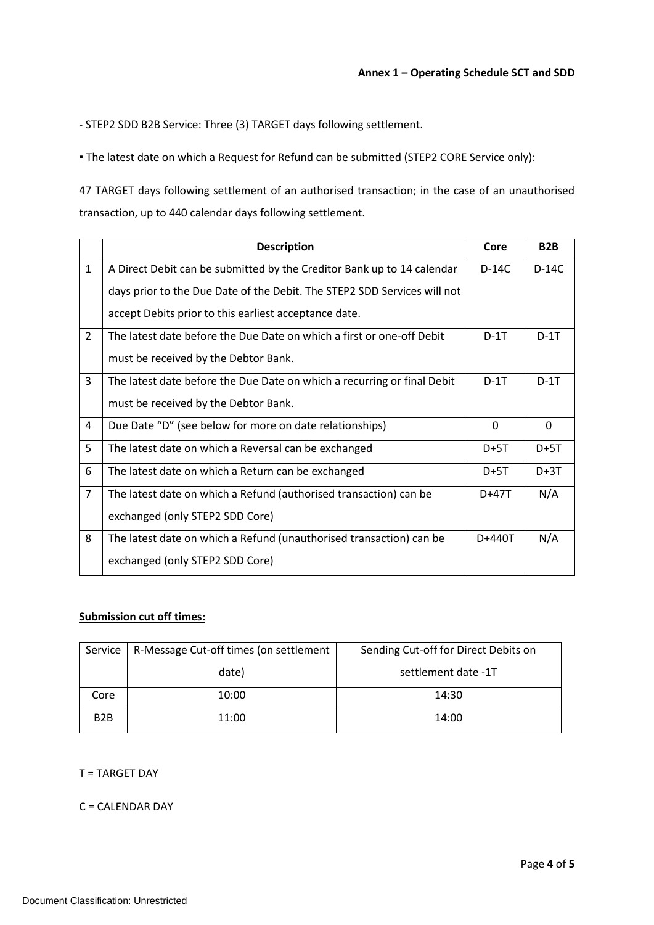- STEP2 SDD B2B Service: Three (3) TARGET days following settlement.

▪ The latest date on which a Request for Refund can be submitted (STEP2 CORE Service only):

47 TARGET days following settlement of an authorised transaction; in the case of an unauthorised transaction, up to 440 calendar days following settlement.

|                | <b>Description</b>                                                       | Core         | B <sub>2</sub> B |
|----------------|--------------------------------------------------------------------------|--------------|------------------|
| $\mathbf{1}$   | A Direct Debit can be submitted by the Creditor Bank up to 14 calendar   | D-14C        | $D-14C$          |
|                | days prior to the Due Date of the Debit. The STEP2 SDD Services will not |              |                  |
|                | accept Debits prior to this earliest acceptance date.                    |              |                  |
| $\overline{2}$ | The latest date before the Due Date on which a first or one-off Debit    | $D-1T$       | $D-1T$           |
|                | must be received by the Debtor Bank.                                     |              |                  |
| $\overline{3}$ | The latest date before the Due Date on which a recurring or final Debit  | $D-1T$       | $D-1T$           |
|                | must be received by the Debtor Bank.                                     |              |                  |
| 4              | Due Date "D" (see below for more on date relationships)                  | $\mathbf{0}$ | $\mathbf{0}$     |
| 5              | The latest date on which a Reversal can be exchanged                     | $D+5T$       | $D+5T$           |
| 6              | The latest date on which a Return can be exchanged                       | $D+5T$       | $D+3T$           |
| $\overline{7}$ | The latest date on which a Refund (authorised transaction) can be        | D+47T        | N/A              |
|                | exchanged (only STEP2 SDD Core)                                          |              |                  |
| 8              | The latest date on which a Refund (unauthorised transaction) can be      | D+440T       | N/A              |
|                | exchanged (only STEP2 SDD Core)                                          |              |                  |

#### **Submission cut off times:**

| Service          | R-Message Cut-off times (on settlement | Sending Cut-off for Direct Debits on |
|------------------|----------------------------------------|--------------------------------------|
|                  | date)                                  | settlement date -1T                  |
| Core             | 10:00                                  | 14:30                                |
| B <sub>2</sub> B | 11:00                                  | 14:00                                |

T = TARGET DAY

## C = CALENDAR DAY